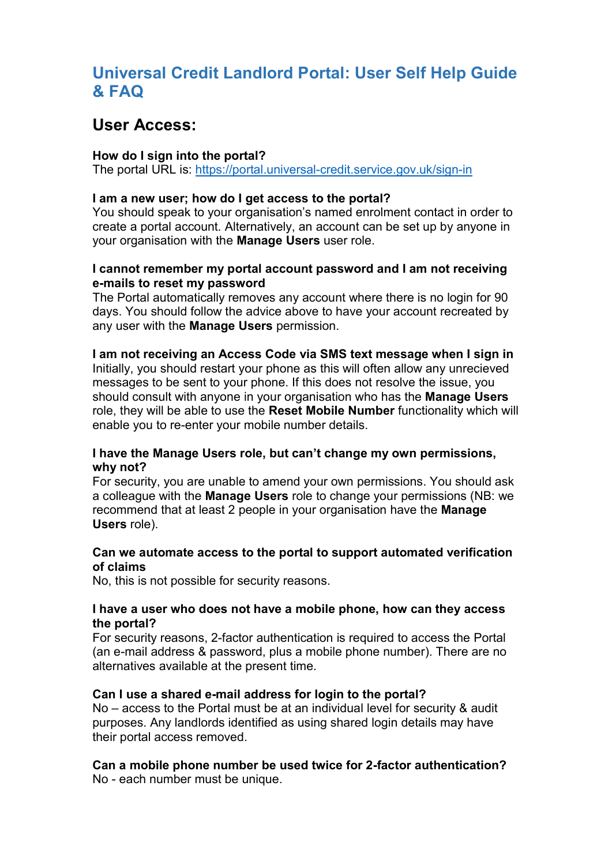## Universal Credit Landlord Portal: User Self Help Guide & FAQ

## User Access:

## How do I sign into the portal?

The portal URL is: https://portal.universal-credit.service.gov.uk/sign-in

## I am a new user; how do I get access to the portal?

You should speak to your organisation's named enrolment contact in order to create a portal account. Alternatively, an account can be set up by anyone in your organisation with the Manage Users user role.

## I cannot remember my portal account password and I am not receiving e-mails to reset my password

The Portal automatically removes any account where there is no login for 90 days. You should follow the advice above to have your account recreated by any user with the **Manage Users** permission.

### I am not receiving an Access Code via SMS text message when I sign in

Initially, you should restart your phone as this will often allow any unrecieved messages to be sent to your phone. If this does not resolve the issue, you should consult with anyone in your organisation who has the Manage Users role, they will be able to use the Reset Mobile Number functionality which will enable you to re-enter your mobile number details.

## I have the Manage Users role, but can't change my own permissions, why not?

For security, you are unable to amend your own permissions. You should ask a colleague with the Manage Users role to change your permissions (NB: we recommend that at least 2 people in your organisation have the Manage Users role).

### Can we automate access to the portal to support automated verification of claims

No, this is not possible for security reasons.

## I have a user who does not have a mobile phone, how can they access the portal?

For security reasons, 2-factor authentication is required to access the Portal (an e-mail address & password, plus a mobile phone number). There are no alternatives available at the present time.

### Can I use a shared e-mail address for login to the portal?

No – access to the Portal must be at an individual level for security & audit purposes. Any landlords identified as using shared login details may have their portal access removed.

#### Can a mobile phone number be used twice for 2-factor authentication? No - each number must be unique.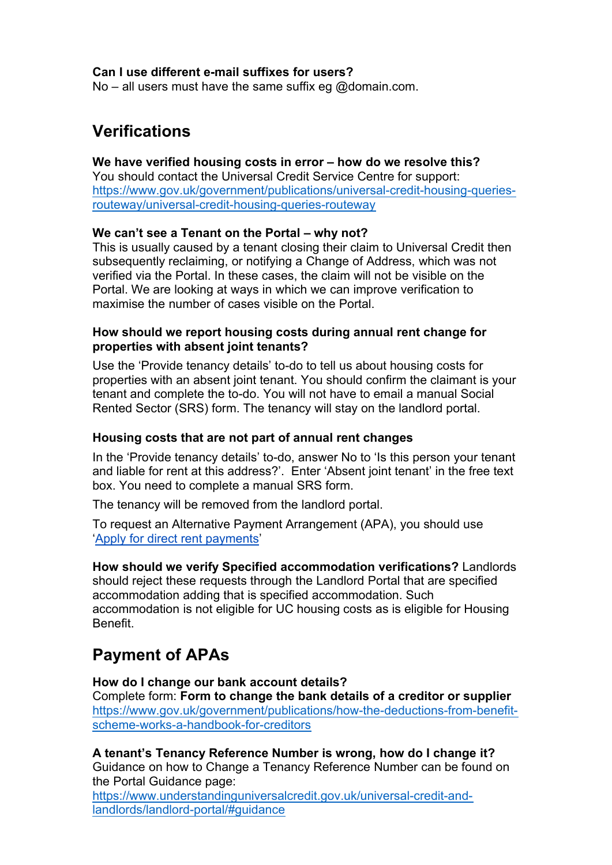## Can I use different e-mail suffixes for users?

No – all users must have the same suffix eg @domain.com.

## Verifications

## We have verified housing costs in error – how do we resolve this?

You should contact the Universal Credit Service Centre for support: https://www.gov.uk/government/publications/universal-credit-housing-queriesrouteway/universal-credit-housing-queries-routeway

## We can't see a Tenant on the Portal – why not?

This is usually caused by a tenant closing their claim to Universal Credit then subsequently reclaiming, or notifying a Change of Address, which was not verified via the Portal. In these cases, the claim will not be visible on the Portal. We are looking at ways in which we can improve verification to maximise the number of cases visible on the Portal.

### **How should we report housing costs during annual rent change for properties with absent joint tenants?**

Use the 'Provide tenancy details' to-do to tell us about housing costs for properties with an absent joint tenant. You should confirm the claimant is your tenant and complete the to-do. You will not have to email a manual Social Rented Sector (SRS) form. The tenancy will stay on the landlord portal.

## **Housing costs that are not part of annual rent changes**

In the 'Provide tenancy details' to-do, answer No to 'Is this person your tenant and liable for rent at this address?'. Enter 'Absent joint tenant' in the free text box. You need to complete a manual SRS form.

The tenancy will be removed from the landlord portal.

To request an Alternative Payment Arrangement (APA), you should use '[Apply for direct rent payments](https://directpayment.universal-credit.service.gov.uk/)'

[How should we verify](https://directpayment.universal-credit.service.gov.uk/) Specified accommodation verifications? Landlords should reject these requests through the Landlord Portal that are specified accommodation adding that is specified accommodation. Such accommodation is not eligible for UC housing costs as is eligible for Housing Benefit.

# Payment of APAs

How do I change our bank account details? Complete form: Form to change the bank details of a creditor or supplier https://www.gov.uk/government/publications/how-the-deductions-from-benefitscheme-works-a-handbook-for-creditors

A tenant's Tenancy Reference Number is wrong, how do I change it? Guidance on how to Change a Tenancy Reference Number can be found on the Portal Guidance page:

https://www.understandinguniversalcredit.gov.uk/universal-credit-andlandlords/landlord-portal/#guidance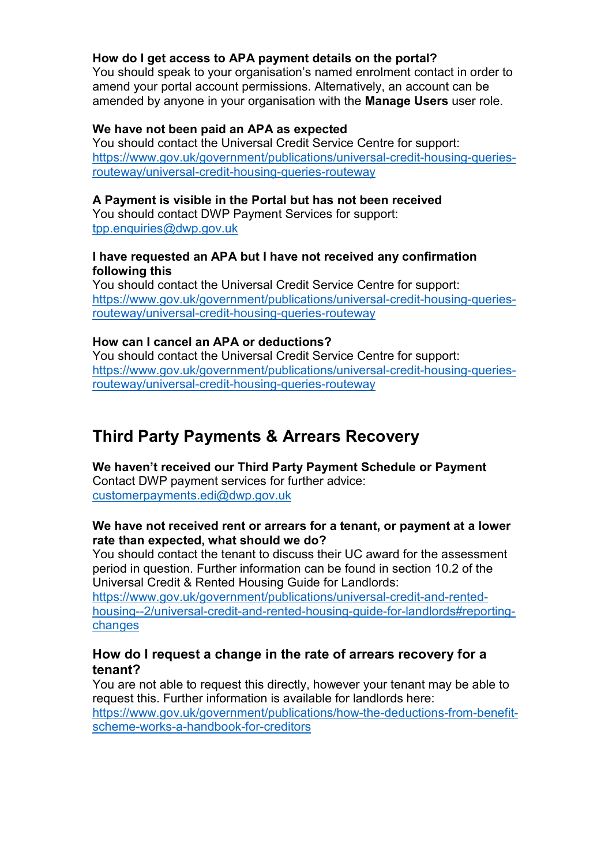## How do I get access to APA payment details on the portal?

You should speak to your organisation's named enrolment contact in order to amend your portal account permissions. Alternatively, an account can be amended by anyone in your organisation with the **Manage Users** user role.

### We have not been paid an APA as expected

You should contact the Universal Credit Service Centre for support: https://www.gov.uk/government/publications/universal-credit-housing-queriesrouteway/universal-credit-housing-queries-routeway

## A Payment is visible in the Portal but has not been received

You should contact DWP Payment Services for support: tpp.enquiries@dwp.gov.uk

#### I have requested an APA but I have not received any confirmation following this

You should contact the Universal Credit Service Centre for support: https://www.gov.uk/government/publications/universal-credit-housing-queriesrouteway/universal-credit-housing-queries-routeway

## How can I cancel an APA or deductions?

You should contact the Universal Credit Service Centre for support: https://www.gov.uk/government/publications/universal-credit-housing-queriesrouteway/universal-credit-housing-queries-routeway

# Third Party Payments & Arrears Recovery

We haven't received our Third Party Payment Schedule or Payment Contact DWP payment services for further advice: customerpayments.edi@dwp.gov.uk

### We have not received rent or arrears for a tenant, or payment at a lower rate than expected, what should we do?

You should contact the tenant to discuss their UC award for the assessment period in question. Further information can be found in section 10.2 of the Universal Credit & Rented Housing Guide for Landlords:

https://www.gov.uk/government/publications/universal-credit-and-rentedhousing--2/universal-credit-and-rented-housing-guide-for-landlords#reportingchanges

## How do I request a change in the rate of arrears recovery for a tenant?

You are not able to request this directly, however your tenant may be able to request this. Further information is available for landlords here: https://www.gov.uk/government/publications/how-the-deductions-from-benefitscheme-works-a-handbook-for-creditors